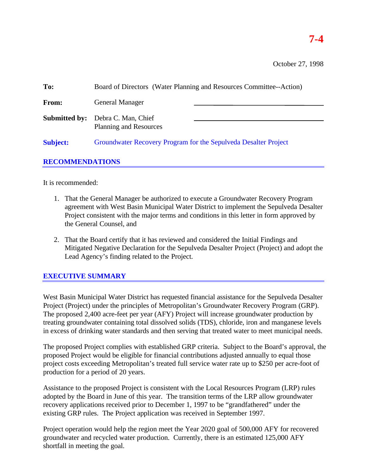# **7-4**

October 27, 1998

| To:                    | Board of Directors (Water Planning and Resources Committee--Action) |  |
|------------------------|---------------------------------------------------------------------|--|
| From:                  | <b>General Manager</b>                                              |  |
| <b>Submitted by:</b>   | Debra C. Man, Chief<br><b>Planning and Resources</b>                |  |
| <b>Subject:</b>        | Groundwater Recovery Program for the Sepulveda Desalter Project     |  |
| <b>RECOMMENDATIONS</b> |                                                                     |  |

It is recommended:

- 1. That the General Manager be authorized to execute a Groundwater Recovery Program agreement with West Basin Municipal Water District to implement the Sepulveda Desalter Project consistent with the major terms and conditions in this letter in form approved by the General Counsel, and
- 2. That the Board certify that it has reviewed and considered the Initial Findings and Mitigated Negative Declaration for the Sepulveda Desalter Project (Project) and adopt the Lead Agency's finding related to the Project.

## **EXECUTIVE SUMMARY**

West Basin Municipal Water District has requested financial assistance for the Sepulveda Desalter Project (Project) under the principles of Metropolitan's Groundwater Recovery Program (GRP). The proposed 2,400 acre-feet per year (AFY) Project will increase groundwater production by treating groundwater containing total dissolved solids (TDS), chloride, iron and manganese levels in excess of drinking water standards and then serving that treated water to meet municipal needs.

The proposed Project complies with established GRP criteria. Subject to the Board's approval, the proposed Project would be eligible for financial contributions adjusted annually to equal those project costs exceeding Metropolitan's treated full service water rate up to \$250 per acre-foot of production for a period of 20 years.

Assistance to the proposed Project is consistent with the Local Resources Program (LRP) rules adopted by the Board in June of this year. The transition terms of the LRP allow groundwater recovery applications received prior to December 1, 1997 to be "grandfathered" under the existing GRP rules. The Project application was received in September 1997.

Project operation would help the region meet the Year 2020 goal of 500,000 AFY for recovered groundwater and recycled water production. Currently, there is an estimated 125,000 AFY shortfall in meeting the goal.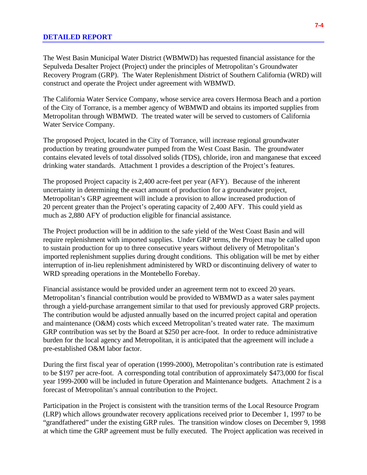#### **DETAILED REPORT**

The West Basin Municipal Water District (WBMWD) has requested financial assistance for the Sepulveda Desalter Project (Project) under the principles of Metropolitan's Groundwater Recovery Program (GRP). The Water Replenishment District of Southern California (WRD) will construct and operate the Project under agreement with WBMWD.

The California Water Service Company, whose service area covers Hermosa Beach and a portion of the City of Torrance, is a member agency of WBMWD and obtains its imported supplies from Metropolitan through WBMWD. The treated water will be served to customers of California Water Service Company.

The proposed Project, located in the City of Torrance, will increase regional groundwater production by treating groundwater pumped from the West Coast Basin. The groundwater contains elevated levels of total dissolved solids (TDS), chloride, iron and manganese that exceed drinking water standards. Attachment 1 provides a description of the Project's features.

The proposed Project capacity is 2,400 acre-feet per year (AFY). Because of the inherent uncertainty in determining the exact amount of production for a groundwater project, Metropolitan's GRP agreement will include a provision to allow increased production of 20 percent greater than the Project's operating capacity of 2,400 AFY. This could yield as much as 2,880 AFY of production eligible for financial assistance.

The Project production will be in addition to the safe yield of the West Coast Basin and will require replenishment with imported supplies. Under GRP terms, the Project may be called upon to sustain production for up to three consecutive years without delivery of Metropolitan's imported replenishment supplies during drought conditions. This obligation will be met by either interruption of in-lieu replenishment administered by WRD or discontinuing delivery of water to WRD spreading operations in the Montebello Forebay.

Financial assistance would be provided under an agreement term not to exceed 20 years. Metropolitan's financial contribution would be provided to WBMWD as a water sales payment through a yield-purchase arrangement similar to that used for previously approved GRP projects. The contribution would be adjusted annually based on the incurred project capital and operation and maintenance (O&M) costs which exceed Metropolitan's treated water rate. The maximum GRP contribution was set by the Board at \$250 per acre-foot. In order to reduce administrative burden for the local agency and Metropolitan, it is anticipated that the agreement will include a pre-established O&M labor factor.

During the first fiscal year of operation (1999-2000), Metropolitan's contribution rate is estimated to be \$197 per acre-foot. A corresponding total contribution of approximately \$473,000 for fiscal year 1999-2000 will be included in future Operation and Maintenance budgets. Attachment 2 is a forecast of Metropolitan's annual contribution to the Project.

Participation in the Project is consistent with the transition terms of the Local Resource Program (LRP) which allows groundwater recovery applications received prior to December 1, 1997 to be "grandfathered" under the existing GRP rules. The transition window closes on December 9, 1998 at which time the GRP agreement must be fully executed. The Project application was received in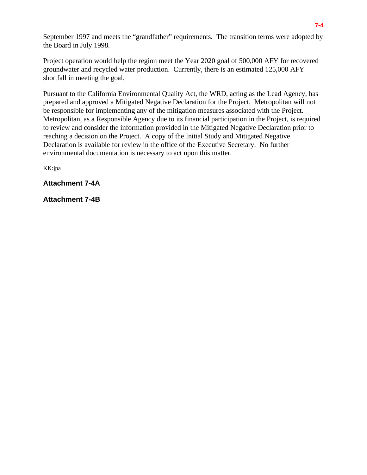September 1997 and meets the "grandfather" requirements. The transition terms were adopted by the Board in July 1998.

Project operation would help the region meet the Year 2020 goal of 500,000 AFY for recovered groundwater and recycled water production. Currently, there is an estimated 125,000 AFY shortfall in meeting the goal.

Pursuant to the California Environmental Quality Act, the WRD, acting as the Lead Agency, has prepared and approved a Mitigated Negative Declaration for the Project. Metropolitan will not be responsible for implementing any of the mitigation measures associated with the Project. Metropolitan, as a Responsible Agency due to its financial participation in the Project, is required to review and consider the information provided in the Mitigated Negative Declaration prior to reaching a decision on the Project. A copy of the Initial Study and Mitigated Negative Declaration is available for review in the office of the Executive Secretary. No further environmental documentation is necessary to act upon this matter.

KK:jpa

**Attachment 7-4A**

**Attachment 7-4B**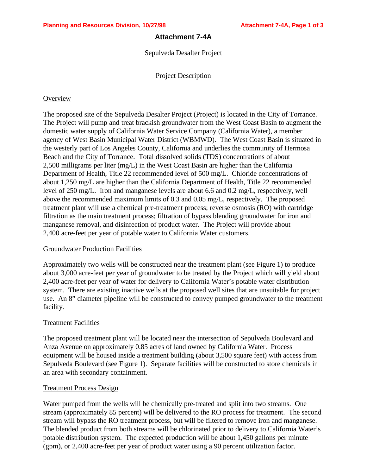#### **Attachment 7-4A**

Sepulveda Desalter Project

#### Project Description

#### **Overview**

The proposed site of the Sepulveda Desalter Project (Project) is located in the City of Torrance. The Project will pump and treat brackish groundwater from the West Coast Basin to augment the domestic water supply of California Water Service Company (California Water), a member agency of West Basin Municipal Water District (WBMWD). The West Coast Basin is situated in the westerly part of Los Angeles County, California and underlies the community of Hermosa Beach and the City of Torrance. Total dissolved solids (TDS) concentrations of about 2,500 milligrams per liter (mg/L) in the West Coast Basin are higher than the California Department of Health, Title 22 recommended level of 500 mg/L. Chloride concentrations of about 1,250 mg/L are higher than the California Department of Health, Title 22 recommended level of 250 mg/L. Iron and manganese levels are about 6.6 and 0.2 mg/L, respectively, well above the recommended maximum limits of 0.3 and 0.05 mg/L, respectively. The proposed treatment plant will use a chemical pre-treatment process; reverse osmosis (RO) with cartridge filtration as the main treatment process; filtration of bypass blending groundwater for iron and manganese removal, and disinfection of product water. The Project will provide about 2,400 acre-feet per year of potable water to California Water customers.

#### Groundwater Production Facilities

Approximately two wells will be constructed near the treatment plant (see Figure 1) to produce about 3,000 acre-feet per year of groundwater to be treated by the Project which will yield about 2,400 acre-feet per year of water for delivery to California Water's potable water distribution system. There are existing inactive wells at the proposed well sites that are unsuitable for project use. An 8" diameter pipeline will be constructed to convey pumped groundwater to the treatment facility.

#### Treatment Facilities

The proposed treatment plant will be located near the intersection of Sepulveda Boulevard and Anza Avenue on approximately 0.85 acres of land owned by California Water. Process equipment will be housed inside a treatment building (about 3,500 square feet) with access from Sepulveda Boulevard (see Figure 1). Separate facilities will be constructed to store chemicals in an area with secondary containment.

#### Treatment Process Design

Water pumped from the wells will be chemically pre-treated and split into two streams. One stream (approximately 85 percent) will be delivered to the RO process for treatment. The second stream will bypass the RO treatment process, but will be filtered to remove iron and manganese. The blended product from both streams will be chlorinated prior to delivery to California Water's potable distribution system. The expected production will be about 1,450 gallons per minute (gpm), or 2,400 acre-feet per year of product water using a 90 percent utilization factor.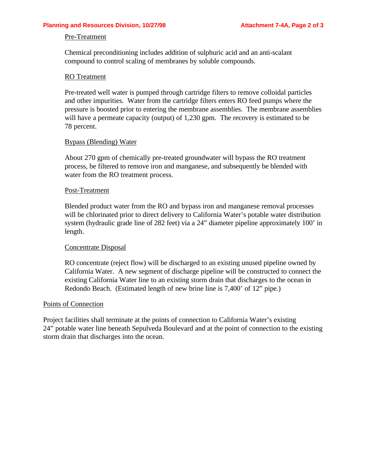#### Pre-Treatment

Chemical preconditioning includes addition of sulphuric acid and an anti-scalant compound to control scaling of membranes by soluble compounds.

#### RO Treatment

Pre-treated well water is pumped through cartridge filters to remove colloidal particles and other impurities. Water from the cartridge filters enters RO feed pumps where the pressure is boosted prior to entering the membrane assemblies. The membrane assemblies will have a permeate capacity (output) of 1,230 gpm. The recovery is estimated to be 78 percent.

#### Bypass (Blending) Water

About 270 gpm of chemically pre-treated groundwater will bypass the RO treatment process, be filtered to remove iron and manganese, and subsequently be blended with water from the RO treatment process.

#### Post-Treatment

Blended product water from the RO and bypass iron and manganese removal processes will be chlorinated prior to direct delivery to California Water's potable water distribution system (hydraulic grade line of 282 feet) via a 24" diameter pipeline approximately 100' in length.

#### Concentrate Disposal

RO concentrate (reject flow) will be discharged to an existing unused pipeline owned by California Water. A new segment of discharge pipeline will be constructed to connect the existing California Water line to an existing storm drain that discharges to the ocean in Redondo Beach. (Estimated length of new brine line is 7,400' of 12" pipe.)

#### Points of Connection

Project facilities shall terminate at the points of connection to California Water's existing 24" potable water line beneath Sepulveda Boulevard and at the point of connection to the existing storm drain that discharges into the ocean.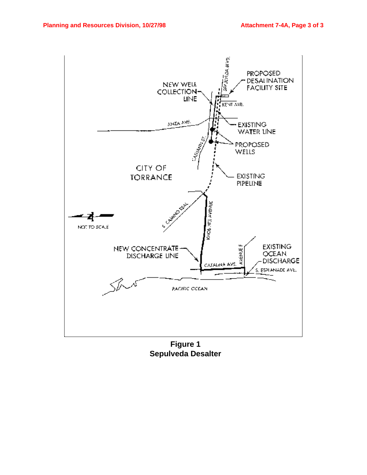

**Figure 1 Sepulveda Desalter**